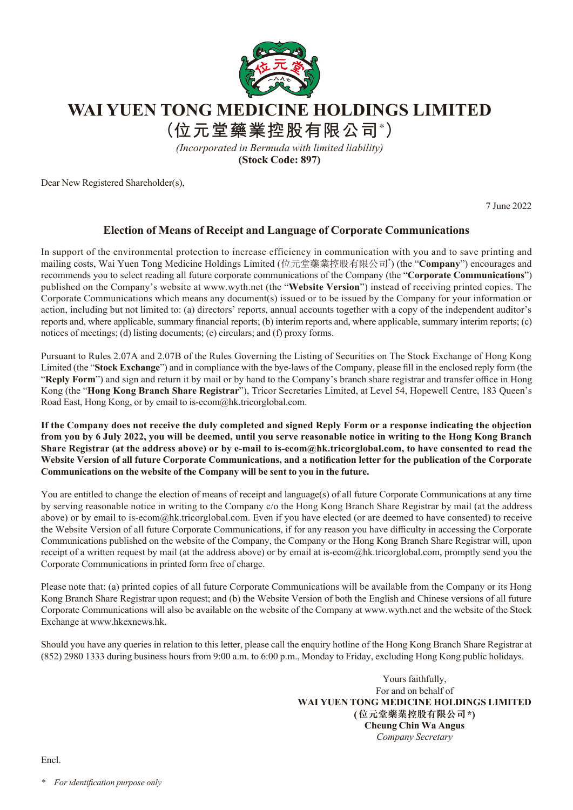

## **WAI YUEN TONG MEDICINE HOLDINGS LIMITED**

**(位元堂藥業控股有限公司\* )**

*(Incorporated in Bermuda with limited liability)* **(Stock Code: 897)**

Dear New Registered Shareholder(s),

7 June 2022

## **Election of Means of Receipt and Language of Corporate Communications**

In support of the environmental protection to increase efficiency in communication with you and to save printing and mailing costs, Wai Yuen Tong Medicine Holdings Limited (位元堂藥業控股有限公司\* ) (the "**Company**") encourages and recommends you to select reading all future corporate communications of the Company (the "**Corporate Communications**") published on the Company's website at www.wyth.net (the "**Website Version**") instead of receiving printed copies. The Corporate Communications which means any document(s) issued or to be issued by the Company for your information or action, including but not limited to: (a) directors' reports, annual accounts together with a copy of the independent auditor's reports and, where applicable, summary financial reports; (b) interim reports and, where applicable, summary interim reports; (c) notices of meetings; (d) listing documents; (e) circulars; and (f) proxy forms.

Pursuant to Rules 2.07A and 2.07B of the Rules Governing the Listing of Securities on The Stock Exchange of Hong Kong Limited (the "**Stock Exchange**") and in compliance with the bye-laws of the Company, please fill in the enclosed reply form (the "**Reply Form**") and sign and return it by mail or by hand to the Company's branch share registrar and transfer office in Hong Kong (the "**Hong Kong Branch Share Registrar**"), Tricor Secretaries Limited, at Level 54, Hopewell Centre, 183 Queen's Road East, Hong Kong, or by email to is-ecom@hk.tricorglobal.com.

**If the Company does not receive the duly completed and signed Reply Form or a response indicating the objection from you by 6 July 2022, you will be deemed, until you serve reasonable notice in writing to the Hong Kong Branch Share Registrar (at the address above) or by e-mail to is-ecom@hk.tricorglobal.com, to have consented to read the Website Version of all future Corporate Communications, and a notification letter for the publication of the Corporate Communications on the website of the Company will be sent to you in the future.**

You are entitled to change the election of means of receipt and language(s) of all future Corporate Communications at any time by serving reasonable notice in writing to the Company c/o the Hong Kong Branch Share Registrar by mail (at the address above) or by email to is-ecom@hk.tricorglobal.com. Even if you have elected (or are deemed to have consented) to receive the Website Version of all future Corporate Communications, if for any reason you have difficulty in accessing the Corporate Communications published on the website of the Company, the Company or the Hong Kong Branch Share Registrar will, upon receipt of a written request by mail (at the address above) or by email at is-ecom@hk.tricorglobal.com, promptly send you the Corporate Communications in printed form free of charge.

Please note that: (a) printed copies of all future Corporate Communications will be available from the Company or its Hong Kong Branch Share Registrar upon request; and (b) the Website Version of both the English and Chinese versions of all future Corporate Communications will also be available on the website of the Company at www.wyth.net and the website of the Stock Exchange at www.hkexnews.hk.

Should you have any queries in relation to this letter, please call the enquiry hotline of the Hong Kong Branch Share Registrar at (852) 2980 1333 during business hours from 9:00 a.m. to 6:00 p.m., Monday to Friday, excluding Hong Kong public holidays.

> Yours faithfully, For and on behalf of **WAI YUEN TONG MEDICINE HOLDINGS LIMITED (位元堂藥業控股有限公司\*) Cheung Chin Wa Angus** *Company Secretary*

Encl.